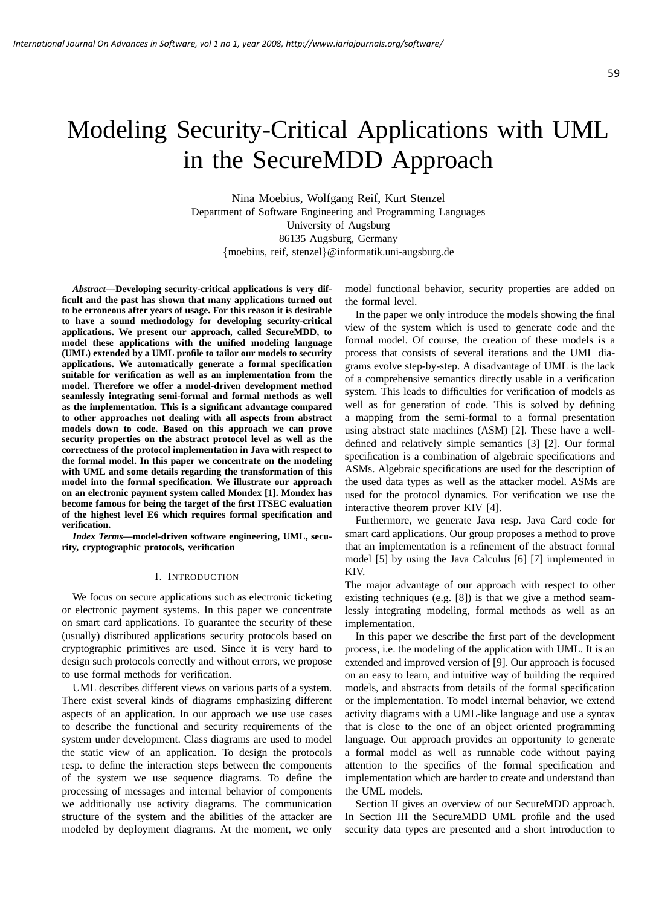# Modeling Security-Critical Applications with UML in the SecureMDD Approach

Nina Moebius, Wolfgang Reif, Kurt Stenzel Department of Software Engineering and Programming Languages University of Augsburg 86135 Augsburg, Germany {moebius, reif, stenzel}@informatik.uni-augsburg.de

*Abstract***—Developing security-critical applications is very difficult and the past has shown that many applications turned out to be erroneous after years of usage. For this reason it is desirable to have a sound methodology for developing security-critical applications. We present our approach, called SecureMDD, to model these applications with the unified modeling language (UML) extended by a UML profile to tailor our models to security applications. We automatically generate a formal specification suitable for verification as well as an implementation from the model. Therefore we offer a model-driven development method seamlessly integrating semi-formal and formal methods as well as the implementation. This is a significant advantage compared to other approaches not dealing with all aspects from abstract models down to code. Based on this approach we can prove security properties on the abstract protocol level as well as the correctness of the protocol implementation in Java with respect to the formal model. In this paper we concentrate on the modeling with UML and some details regarding the transformation of this model into the formal specification. We illustrate our approach on an electronic payment system called Mondex [1]. Mondex has become famous for being the target of the first ITSEC evaluation of the highest level E6 which requires formal specification and verification.**

*Index Terms***—model-driven software engineering, UML, security, cryptographic protocols, verification**

## I. INTRODUCTION

We focus on secure applications such as electronic ticketing or electronic payment systems. In this paper we concentrate on smart card applications. To guarantee the security of these (usually) distributed applications security protocols based on cryptographic primitives are used. Since it is very hard to design such protocols correctly and without errors, we propose to use formal methods for verification.

UML describes different views on various parts of a system. There exist several kinds of diagrams emphasizing different aspects of an application. In our approach we use use cases to describe the functional and security requirements of the system under development. Class diagrams are used to model the static view of an application. To design the protocols resp. to define the interaction steps between the components of the system we use sequence diagrams. To define the processing of messages and internal behavior of components we additionally use activity diagrams. The communication structure of the system and the abilities of the attacker are modeled by deployment diagrams. At the moment, we only model functional behavior, security properties are added on the formal level.

In the paper we only introduce the models showing the final view of the system which is used to generate code and the formal model. Of course, the creation of these models is a process that consists of several iterations and the UML diagrams evolve step-by-step. A disadvantage of UML is the lack of a comprehensive semantics directly usable in a verification system. This leads to difficulties for verification of models as well as for generation of code. This is solved by defining a mapping from the semi-formal to a formal presentation using abstract state machines (ASM) [2]. These have a welldefined and relatively simple semantics [3] [2]. Our formal specification is a combination of algebraic specifications and ASMs. Algebraic specifications are used for the description of the used data types as well as the attacker model. ASMs are used for the protocol dynamics. For verification we use the interactive theorem prover KIV [4].

Furthermore, we generate Java resp. Java Card code for smart card applications. Our group proposes a method to prove that an implementation is a refinement of the abstract formal model [5] by using the Java Calculus [6] [7] implemented in KIV.

The major advantage of our approach with respect to other existing techniques (e.g. [8]) is that we give a method seamlessly integrating modeling, formal methods as well as an implementation.

In this paper we describe the first part of the development process, i.e. the modeling of the application with UML. It is an extended and improved version of [9]. Our approach is focused on an easy to learn, and intuitive way of building the required models, and abstracts from details of the formal specification or the implementation. To model internal behavior, we extend activity diagrams with a UML-like language and use a syntax that is close to the one of an object oriented programming language. Our approach provides an opportunity to generate a formal model as well as runnable code without paying attention to the specifics of the formal specification and implementation which are harder to create and understand than the UML models.

Section II gives an overview of our SecureMDD approach. In Section III the SecureMDD UML profile and the used security data types are presented and a short introduction to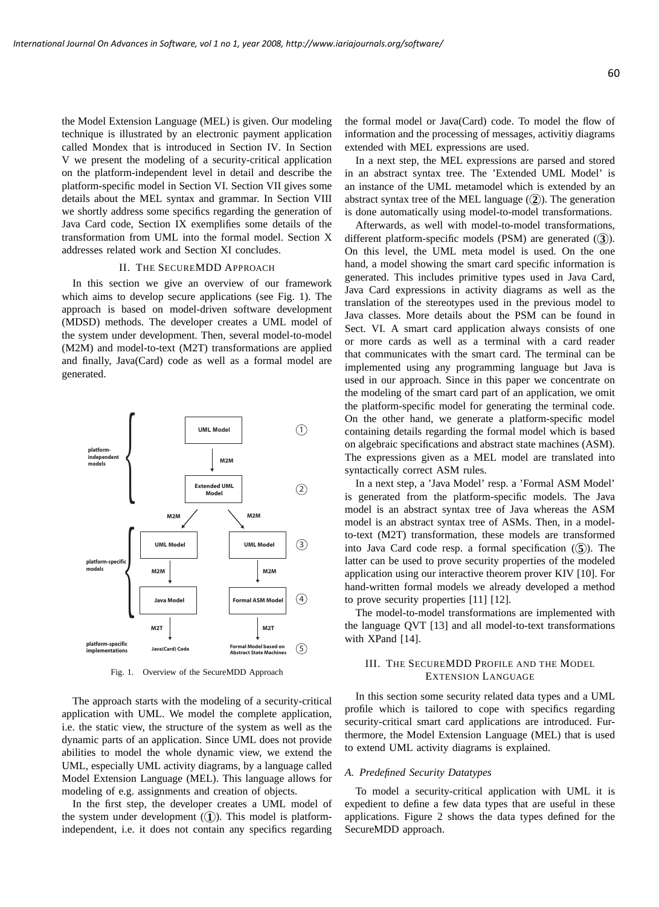the Model Extension Language (MEL) is given. Our modeling technique is illustrated by an electronic payment application called Mondex that is introduced in Section IV. In Section V we present the modeling of a security-critical application on the platform-independent level in detail and describe the platform-specific model in Section VI. Section VII gives some details about the MEL syntax and grammar. In Section VIII we shortly address some specifics regarding the generation of Java Card code, Section IX exemplifies some details of the transformation from UML into the formal model. Section X addresses related work and Section XI concludes.

## II. THE SECUREMDD APPROACH

In this section we give an overview of our framework which aims to develop secure applications (see Fig. 1). The approach is based on model-driven software development (MDSD) methods. The developer creates a UML model of the system under development. Then, several model-to-model (M2M) and model-to-text (M2T) transformations are applied and finally, Java(Card) code as well as a formal model are generated.



Fig. 1. Overview of the SecureMDD Approach

The approach starts with the modeling of a security-critical application with UML. We model the complete application, i.e. the static view, the structure of the system as well as the dynamic parts of an application. Since UML does not provide abilities to model the whole dynamic view, we extend the UML, especially UML activity diagrams, by a language called Model Extension Language (MEL). This language allows for modeling of e.g. assignments and creation of objects.

In the first step, the developer creates a UML model of the system under development  $(1)$ ). This model is platformindependent, i.e. it does not contain any specifics regarding the formal model or Java(Card) code. To model the flow of information and the processing of messages, activitiy diagrams extended with MEL expressions are used.

In a next step, the MEL expressions are parsed and stored in an abstract syntax tree. The 'Extended UML Model' is an instance of the UML metamodel which is extended by an abstract syntax tree of the MEL language  $(2)$ ). The generation is done automatically using model-to-model transformations.

Afterwards, as well with model-to-model transformations, different platform-specific models (PSM) are generated (3). On this level, the UML meta model is used. On the one hand, a model showing the smart card specific information is generated. This includes primitive types used in Java Card, Java Card expressions in activity diagrams as well as the translation of the stereotypes used in the previous model to Java classes. More details about the PSM can be found in Sect. VI. A smart card application always consists of one or more cards as well as a terminal with a card reader that communicates with the smart card. The terminal can be implemented using any programming language but Java is used in our approach. Since in this paper we concentrate on the modeling of the smart card part of an application, we omit the platform-specific model for generating the terminal code. On the other hand, we generate a platform-specific model containing details regarding the formal model which is based on algebraic specifications and abstract state machines (ASM). The expressions given as a MEL model are translated into syntactically correct ASM rules.

In a next step, a 'Java Model' resp. a 'Formal ASM Model' is generated from the platform-specific models. The Java model is an abstract syntax tree of Java whereas the ASM model is an abstract syntax tree of ASMs. Then, in a modelto-text (M2T) transformation, these models are transformed into Java Card code resp. a formal specification  $(5)$ ). The latter can be used to prove security properties of the modeled application using our interactive theorem prover KIV [10]. For hand-written formal models we already developed a method to prove security properties [11] [12].

The model-to-model transformations are implemented with the language QVT [13] and all model-to-text transformations with XPand [14].

# III. THE SECUREMDD PROFILE AND THE MODEL EXTENSION LANGUAGE

In this section some security related data types and a UML profile which is tailored to cope with specifics regarding security-critical smart card applications are introduced. Furthermore, the Model Extension Language (MEL) that is used to extend UML activity diagrams is explained.

#### *A. Predefined Security Datatypes*

To model a security-critical application with UML it is expedient to define a few data types that are useful in these applications. Figure 2 shows the data types defined for the SecureMDD approach.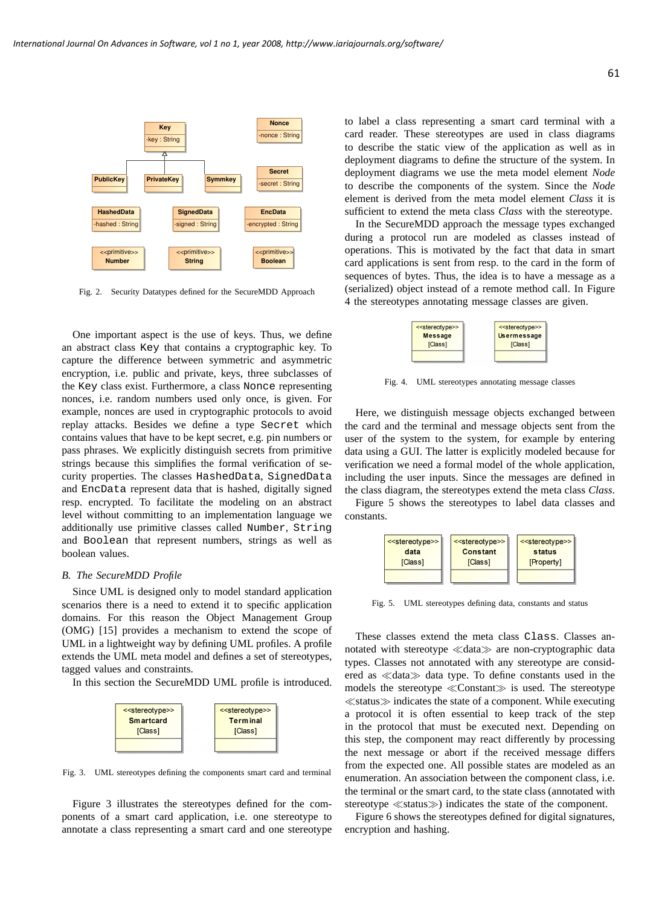

Fig. 2. Security Datatypes defined for the SecureMDD Approach

One important aspect is the use of keys. Thus, we define an abstract class Key that contains a cryptographic key. To capture the difference between symmetric and asymmetric encryption, i.e. public and private, keys, three subclasses of the Key class exist. Furthermore, a class Nonce representing nonces, i.e. random numbers used only once, is given. For example, nonces are used in cryptographic protocols to avoid replay attacks. Besides we define a type Secret which contains values that have to be kept secret, e.g. pin numbers or pass phrases. We explicitly distinguish secrets from primitive strings because this simplifies the formal verification of security properties. The classes HashedData, SignedData and EncData represent data that is hashed, digitally signed resp. encrypted. To facilitate the modeling on an abstract level without committing to an implementation language we additionally use primitive classes called Number, String and Boolean that represent numbers, strings as well as boolean values.

## *B. The SecureMDD Profile*

Since UML is designed only to model standard application scenarios there is a need to extend it to specific application domains. For this reason the Object Management Group (OMG) [15] provides a mechanism to extend the scope of UML in a lightweight way by defining UML profiles. A profile extends the UML meta model and defines a set of stereotypes, tagged values and constraints.

In this section the SecureMDD UML profile is introduced.



Fig. 3. UML stereotypes defining the components smart card and terminal

Figure 3 illustrates the stereotypes defined for the components of a smart card application, i.e. one stereotype to annotate a class representing a smart card and one stereotype to label a class representing a smart card terminal with a card reader. These stereotypes are used in class diagrams to describe the static view of the application as well as in deployment diagrams to define the structure of the system. In deployment diagrams we use the meta model element *Node* to describe the components of the system. Since the *Node* element is derived from the meta model element *Class* it is sufficient to extend the meta class *Class* with the stereotype.

In the SecureMDD approach the message types exchanged during a protocol run are modeled as classes instead of operations. This is motivated by the fact that data in smart card applications is sent from resp. to the card in the form of sequences of bytes. Thus, the idea is to have a message as a (serialized) object instead of a remote method call. In Figure 4 the stereotypes annotating message classes are given.



Fig. 4. UML stereotypes annotating message classes

Here, we distinguish message objects exchanged between the card and the terminal and message objects sent from the user of the system to the system, for example by entering data using a GUI. The latter is explicitly modeled because for verification we need a formal model of the whole application, including the user inputs. Since the messages are defined in the class diagram, the stereotypes extend the meta class *Class*.

Figure 5 shows the stereotypes to label data classes and constants.



Fig. 5. UML stereotypes defining data, constants and status

These classes extend the meta class Class. Classes annotated with stereotype ≪data≫ are non-cryptographic data types. Classes not annotated with any stereotype are considered as ≪data≫ data type. To define constants used in the models the stereotype ≪Constant≫ is used. The stereotype ≪status≫ indicates the state of a component. While executing a protocol it is often essential to keep track of the step in the protocol that must be executed next. Depending on this step, the component may react differently by processing the next message or abort if the received message differs from the expected one. All possible states are modeled as an enumeration. An association between the component class, i.e. the terminal or the smart card, to the state class (annotated with stereotype ≪status≫) indicates the state of the component.

Figure 6 shows the stereotypes defined for digital signatures, encryption and hashing.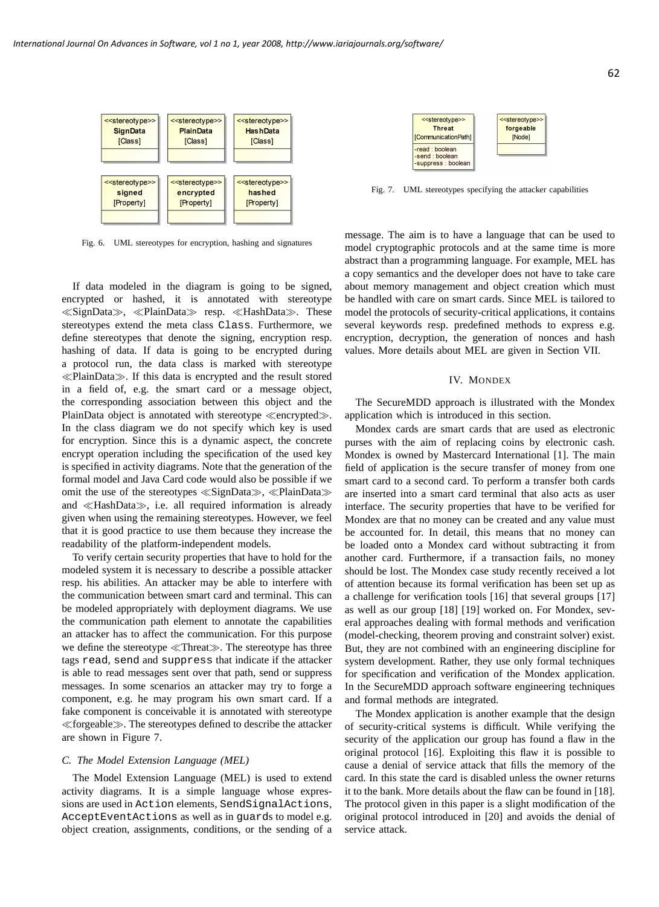

Fig. 6. UML stereotypes for encryption, hashing and signatures

If data modeled in the diagram is going to be signed, encrypted or hashed, it is annotated with stereotype ≪SignData≫, ≪PlainData≫ resp. ≪HashData≫. These stereotypes extend the meta class Class. Furthermore, we define stereotypes that denote the signing, encryption resp. hashing of data. If data is going to be encrypted during a protocol run, the data class is marked with stereotype ≪PlainData≫. If this data is encrypted and the result stored in a field of, e.g. the smart card or a message object, the corresponding association between this object and the PlainData object is annotated with stereotype ≪encrypted≫. In the class diagram we do not specify which key is used for encryption. Since this is a dynamic aspect, the concrete encrypt operation including the specification of the used key is specified in activity diagrams. Note that the generation of the formal model and Java Card code would also be possible if we omit the use of the stereotypes ≪SignData≫, ≪PlainData≫ and ≪HashData≫, i.e. all required information is already given when using the remaining stereotypes. However, we feel that it is good practice to use them because they increase the readability of the platform-independent models.

To verify certain security properties that have to hold for the modeled system it is necessary to describe a possible attacker resp. his abilities. An attacker may be able to interfere with the communication between smart card and terminal. This can be modeled appropriately with deployment diagrams. We use the communication path element to annotate the capabilities an attacker has to affect the communication. For this purpose we define the stereotype ≪Threat≫. The stereotype has three tags read, send and suppress that indicate if the attacker is able to read messages sent over that path, send or suppress messages. In some scenarios an attacker may try to forge a component, e.g. he may program his own smart card. If a fake component is conceivable it is annotated with stereotype ≪forgeable≫. The stereotypes defined to describe the attacker are shown in Figure 7.

## *C. The Model Extension Language (MEL)*

The Model Extension Language (MEL) is used to extend activity diagrams. It is a simple language whose expressions are used in Action elements, SendSignalActions, AcceptEventActions as well as in guards to model e.g. object creation, assignments, conditions, or the sending of a

| < <stereotype>&gt;</stereotype>                   | < <stereotype>&gt;</stereotype> |
|---------------------------------------------------|---------------------------------|
| <b>Threat</b>                                     | forgeable                       |
| <b>mmunicationPath1</b>                           | [Node]                          |
| ad : boolean<br>end: boolean<br>uppress : boolean |                                 |

 $[<sup>C</sup>]$ 

 $-$ re<br> $-$ se<br> $-$ se

Fig. 7. UML stereotypes specifying the attacker capabilities

message. The aim is to have a language that can be used to model cryptographic protocols and at the same time is more abstract than a programming language. For example, MEL has a copy semantics and the developer does not have to take care about memory management and object creation which must be handled with care on smart cards. Since MEL is tailored to model the protocols of security-critical applications, it contains several keywords resp. predefined methods to express e.g. encryption, decryption, the generation of nonces and hash values. More details about MEL are given in Section VII.

#### IV. MONDEX

The SecureMDD approach is illustrated with the Mondex application which is introduced in this section.

Mondex cards are smart cards that are used as electronic purses with the aim of replacing coins by electronic cash. Mondex is owned by Mastercard International [1]. The main field of application is the secure transfer of money from one smart card to a second card. To perform a transfer both cards are inserted into a smart card terminal that also acts as user interface. The security properties that have to be verified for Mondex are that no money can be created and any value must be accounted for. In detail, this means that no money can be loaded onto a Mondex card without subtracting it from another card. Furthermore, if a transaction fails, no money should be lost. The Mondex case study recently received a lot of attention because its formal verification has been set up as a challenge for verification tools [16] that several groups [17] as well as our group [18] [19] worked on. For Mondex, several approaches dealing with formal methods and verification (model-checking, theorem proving and constraint solver) exist. But, they are not combined with an engineering discipline for system development. Rather, they use only formal techniques for specification and verification of the Mondex application. In the SecureMDD approach software engineering techniques and formal methods are integrated.

The Mondex application is another example that the design of security-critical systems is difficult. While verifying the security of the application our group has found a flaw in the original protocol [16]. Exploiting this flaw it is possible to cause a denial of service attack that fills the memory of the card. In this state the card is disabled unless the owner returns it to the bank. More details about the flaw can be found in [18]. The protocol given in this paper is a slight modification of the original protocol introduced in [20] and avoids the denial of service attack.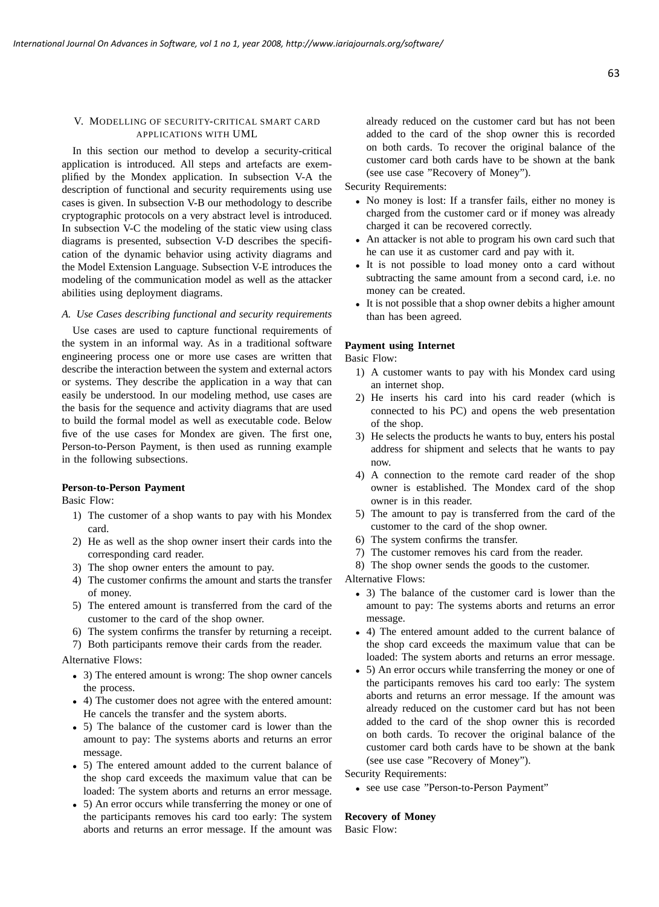# V. MODELLING OF SECURITY-CRITICAL SMART CARD APPLICATIONS WITH UML

In this section our method to develop a security-critical application is introduced. All steps and artefacts are exemplified by the Mondex application. In subsection V-A the description of functional and security requirements using use cases is given. In subsection V-B our methodology to describe cryptographic protocols on a very abstract level is introduced. In subsection V-C the modeling of the static view using class diagrams is presented, subsection V-D describes the specification of the dynamic behavior using activity diagrams and the Model Extension Language. Subsection V-E introduces the modeling of the communication model as well as the attacker abilities using deployment diagrams.

## *A. Use Cases describing functional and security requirements*

Use cases are used to capture functional requirements of the system in an informal way. As in a traditional software engineering process one or more use cases are written that describe the interaction between the system and external actors or systems. They describe the application in a way that can easily be understood. In our modeling method, use cases are the basis for the sequence and activity diagrams that are used to build the formal model as well as executable code. Below five of the use cases for Mondex are given. The first one, Person-to-Person Payment, is then used as running example in the following subsections.

# **Person-to-Person Payment**

Basic Flow:

- 1) The customer of a shop wants to pay with his Mondex card.
- 2) He as well as the shop owner insert their cards into the corresponding card reader.
- 3) The shop owner enters the amount to pay.
- 4) The customer confirms the amount and starts the transfer of money.
- 5) The entered amount is transferred from the card of the customer to the card of the shop owner.
- 6) The system confirms the transfer by returning a receipt.
- 7) Both participants remove their cards from the reader.

## Alternative Flows:

- 3) The entered amount is wrong: The shop owner cancels the process.
- 4) The customer does not agree with the entered amount: He cancels the transfer and the system aborts.
- 5) The balance of the customer card is lower than the amount to pay: The systems aborts and returns an error message.
- 5) The entered amount added to the current balance of the shop card exceeds the maximum value that can be loaded: The system aborts and returns an error message.
- 5) An error occurs while transferring the money or one of the participants removes his card too early: The system aborts and returns an error message. If the amount was

already reduced on the customer card but has not been added to the card of the shop owner this is recorded on both cards. To recover the original balance of the customer card both cards have to be shown at the bank (see use case "Recovery of Money").

Security Requirements:

- No money is lost: If a transfer fails, either no money is charged from the customer card or if money was already charged it can be recovered correctly.
- An attacker is not able to program his own card such that he can use it as customer card and pay with it.
- It is not possible to load money onto a card without subtracting the same amount from a second card, i.e. no money can be created.
- It is not possible that a shop owner debits a higher amount than has been agreed.

# **Payment using Internet**

Basic Flow:

- 1) A customer wants to pay with his Mondex card using an internet shop.
- 2) He inserts his card into his card reader (which is connected to his PC) and opens the web presentation of the shop.
- 3) He selects the products he wants to buy, enters his postal address for shipment and selects that he wants to pay now.
- 4) A connection to the remote card reader of the shop owner is established. The Mondex card of the shop owner is in this reader.
- 5) The amount to pay is transferred from the card of the customer to the card of the shop owner.
- 6) The system confirms the transfer.
- 7) The customer removes his card from the reader.
- 8) The shop owner sends the goods to the customer.

Alternative Flows:

- 3) The balance of the customer card is lower than the amount to pay: The systems aborts and returns an error message.
- 4) The entered amount added to the current balance of the shop card exceeds the maximum value that can be loaded: The system aborts and returns an error message.
- 5) An error occurs while transferring the money or one of the participants removes his card too early: The system aborts and returns an error message. If the amount was already reduced on the customer card but has not been added to the card of the shop owner this is recorded on both cards. To recover the original balance of the customer card both cards have to be shown at the bank (see use case "Recovery of Money").

Security Requirements:

• see use case "Person-to-Person Payment"

# **Recovery of Money**

Basic Flow: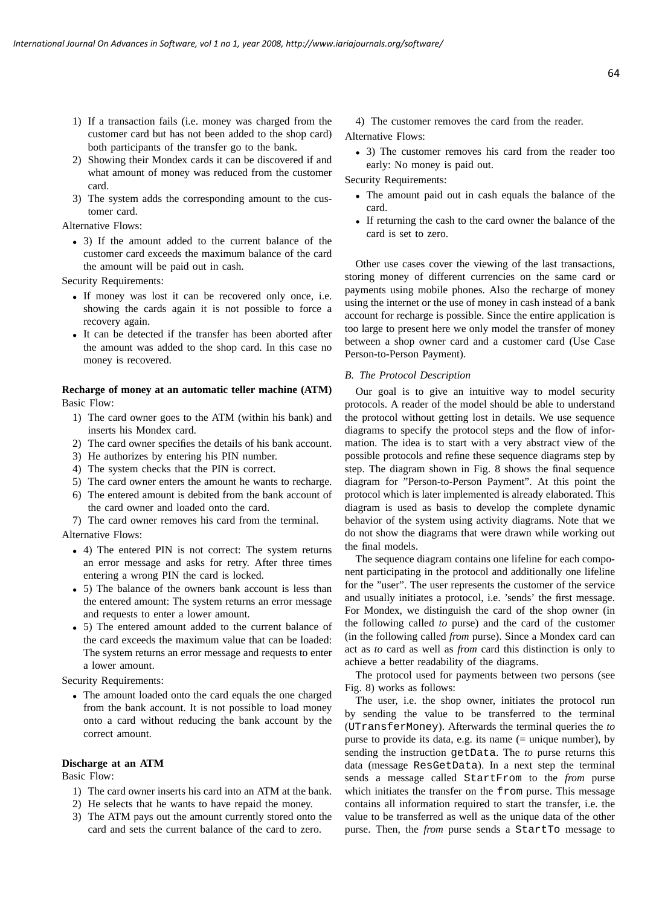- 1) If a transaction fails (i.e. money was charged from the customer card but has not been added to the shop card) both participants of the transfer go to the bank.
- 2) Showing their Mondex cards it can be discovered if and what amount of money was reduced from the customer card.
- 3) The system adds the corresponding amount to the customer card.

Alternative Flows:

• 3) If the amount added to the current balance of the customer card exceeds the maximum balance of the card the amount will be paid out in cash.

Security Requirements:

- If money was lost it can be recovered only once, i.e. showing the cards again it is not possible to force a recovery again.
- It can be detected if the transfer has been aborted after the amount was added to the shop card. In this case no money is recovered.

# **Recharge of money at an automatic teller machine (ATM)** Basic Flow:

- 1) The card owner goes to the ATM (within his bank) and inserts his Mondex card.
- 2) The card owner specifies the details of his bank account.
- 3) He authorizes by entering his PIN number.
- 4) The system checks that the PIN is correct.
- 5) The card owner enters the amount he wants to recharge.
- 6) The entered amount is debited from the bank account of the card owner and loaded onto the card.
- 7) The card owner removes his card from the terminal.

Alternative Flows:

- 4) The entered PIN is not correct: The system returns an error message and asks for retry. After three times entering a wrong PIN the card is locked.
- 5) The balance of the owners bank account is less than the entered amount: The system returns an error message and requests to enter a lower amount.
- 5) The entered amount added to the current balance of the card exceeds the maximum value that can be loaded: The system returns an error message and requests to enter a lower amount.

Security Requirements:

• The amount loaded onto the card equals the one charged from the bank account. It is not possible to load money onto a card without reducing the bank account by the correct amount.

## **Discharge at an ATM**

Basic Flow:

- 1) The card owner inserts his card into an ATM at the bank.
- 2) He selects that he wants to have repaid the money.
- 3) The ATM pays out the amount currently stored onto the card and sets the current balance of the card to zero.

4) The customer removes the card from the reader. Alternative Flows:

• 3) The customer removes his card from the reader too early: No money is paid out.

Security Requirements:

- The amount paid out in cash equals the balance of the card.
- If returning the cash to the card owner the balance of the card is set to zero.

Other use cases cover the viewing of the last transactions, storing money of different currencies on the same card or payments using mobile phones. Also the recharge of money using the internet or the use of money in cash instead of a bank account for recharge is possible. Since the entire application is too large to present here we only model the transfer of money between a shop owner card and a customer card (Use Case Person-to-Person Payment).

### *B. The Protocol Description*

Our goal is to give an intuitive way to model security protocols. A reader of the model should be able to understand the protocol without getting lost in details. We use sequence diagrams to specify the protocol steps and the flow of information. The idea is to start with a very abstract view of the possible protocols and refine these sequence diagrams step by step. The diagram shown in Fig. 8 shows the final sequence diagram for "Person-to-Person Payment". At this point the protocol which is later implemented is already elaborated. This diagram is used as basis to develop the complete dynamic behavior of the system using activity diagrams. Note that we do not show the diagrams that were drawn while working out the final models.

The sequence diagram contains one lifeline for each component participating in the protocol and additionally one lifeline for the "user". The user represents the customer of the service and usually initiates a protocol, i.e. 'sends' the first message. For Mondex, we distinguish the card of the shop owner (in the following called *to* purse) and the card of the customer (in the following called *from* purse). Since a Mondex card can act as *to* card as well as *from* card this distinction is only to achieve a better readability of the diagrams.

The protocol used for payments between two persons (see Fig. 8) works as follows:

The user, i.e. the shop owner, initiates the protocol run by sending the value to be transferred to the terminal (UTransferMoney). Afterwards the terminal queries the *to* purse to provide its data, e.g. its name (= unique number), by sending the instruction getData. The *to* purse returns this data (message ResGetData). In a next step the terminal sends a message called StartFrom to the *from* purse which initiates the transfer on the from purse. This message contains all information required to start the transfer, i.e. the value to be transferred as well as the unique data of the other purse. Then, the *from* purse sends a StartTo message to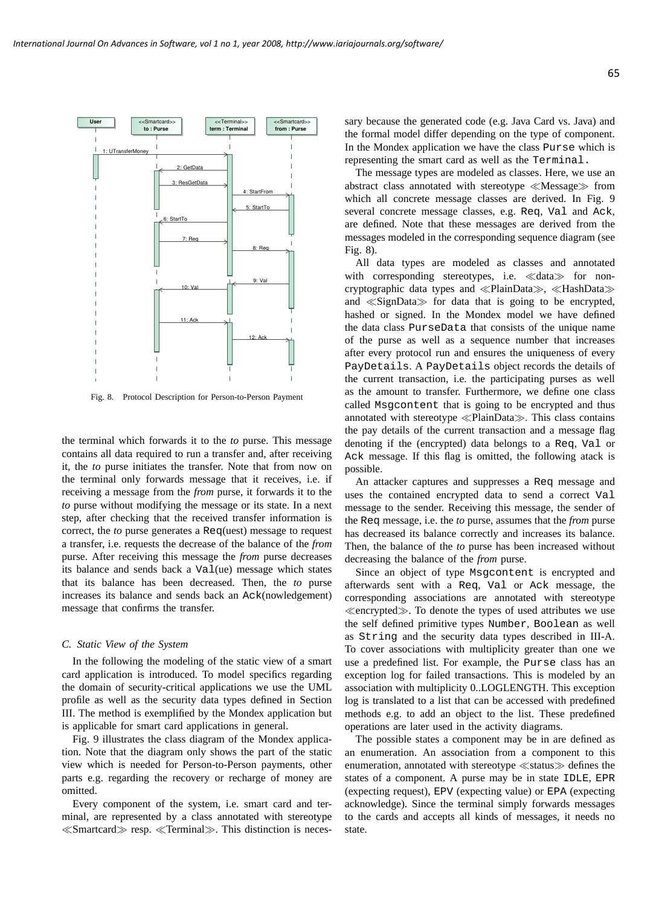

Fig. 8. Protocol Description for Person-to-Person Payment

the terminal which forwards it to the *to* purse. This message contains all data required to run a transfer and, after receiving it, the *to* purse initiates the transfer. Note that from now on the terminal only forwards message that it receives, i.e. if receiving a message from the *from* purse, it forwards it to the *to* purse without modifying the message or its state. In a next step, after checking that the received transfer information is correct, the *to* purse generates a Req(uest) message to request a transfer, i.e. requests the decrease of the balance of the *from* purse. After receiving this message the *from* purse decreases its balance and sends back a Val(ue) message which states that its balance has been decreased. Then, the *to* purse increases its balance and sends back an Ack(nowledgement) message that confirms the transfer.

# *C. Static View of the System*

In the following the modeling of the static view of a smart card application is introduced. To model specifics regarding the domain of security-critical applications we use the UML profile as well as the security data types defined in Section III. The method is exemplified by the Mondex application but is applicable for smart card applications in general.

Fig. 9 illustrates the class diagram of the Mondex application. Note that the diagram only shows the part of the static view which is needed for Person-to-Person payments, other parts e.g. regarding the recovery or recharge of money are omitted.

Every component of the system, i.e. smart card and terminal, are represented by a class annotated with stereotype ≪Smartcard≫ resp. ≪Terminal≫. This distinction is necessary because the generated code (e.g. Java Card vs. Java) and the formal model differ depending on the type of component. In the Mondex application we have the class Purse which is representing the smart card as well as the Terminal.

The message types are modeled as classes. Here, we use an abstract class annotated with stereotype ≪Message≫ from which all concrete message classes are derived. In Fig. 9 several concrete message classes, e.g. Req, Val and Ack, are defined. Note that these messages are derived from the messages modeled in the corresponding sequence diagram (see Fig. 8).

All data types are modeled as classes and annotated with corresponding stereotypes, i.e. ≪data≫ for noncryptographic data types and ≪PlainData≫, ≪HashData≫ and ≪SignData≫ for data that is going to be encrypted, hashed or signed. In the Mondex model we have defined the data class PurseData that consists of the unique name of the purse as well as a sequence number that increases after every protocol run and ensures the uniqueness of every PayDetails. A PayDetails object records the details of the current transaction, i.e. the participating purses as well as the amount to transfer. Furthermore, we define one class called Msgcontent that is going to be encrypted and thus annotated with stereotype ≪PlainData≫. This class contains the pay details of the current transaction and a message flag denoting if the (encrypted) data belongs to a Req, Val or Ack message. If this flag is omitted, the following atack is possible.

An attacker captures and suppresses a Req message and uses the contained encrypted data to send a correct Val message to the sender. Receiving this message, the sender of the Req message, i.e. the *to* purse, assumes that the *from* purse has decreased its balance correctly and increases its balance. Then, the balance of the *to* purse has been increased without decreasing the balance of the *from* purse.

Since an object of type Msgcontent is encrypted and afterwards sent with a Req, Val or Ack message, the corresponding associations are annotated with stereotype ≪encrypted≫. To denote the types of used attributes we use the self defined primitive types Number, Boolean as well as String and the security data types described in III-A. To cover associations with multiplicity greater than one we use a predefined list. For example, the Purse class has an exception log for failed transactions. This is modeled by an association with multiplicity 0..LOGLENGTH. This exception log is translated to a list that can be accessed with predefined methods e.g. to add an object to the list. These predefined operations are later used in the activity diagrams.

The possible states a component may be in are defined as an enumeration. An association from a component to this enumeration, annotated with stereotype ≪status≫ defines the states of a component. A purse may be in state IDLE, EPR (expecting request), EPV (expecting value) or EPA (expecting acknowledge). Since the terminal simply forwards messages to the cards and accepts all kinds of messages, it needs no state.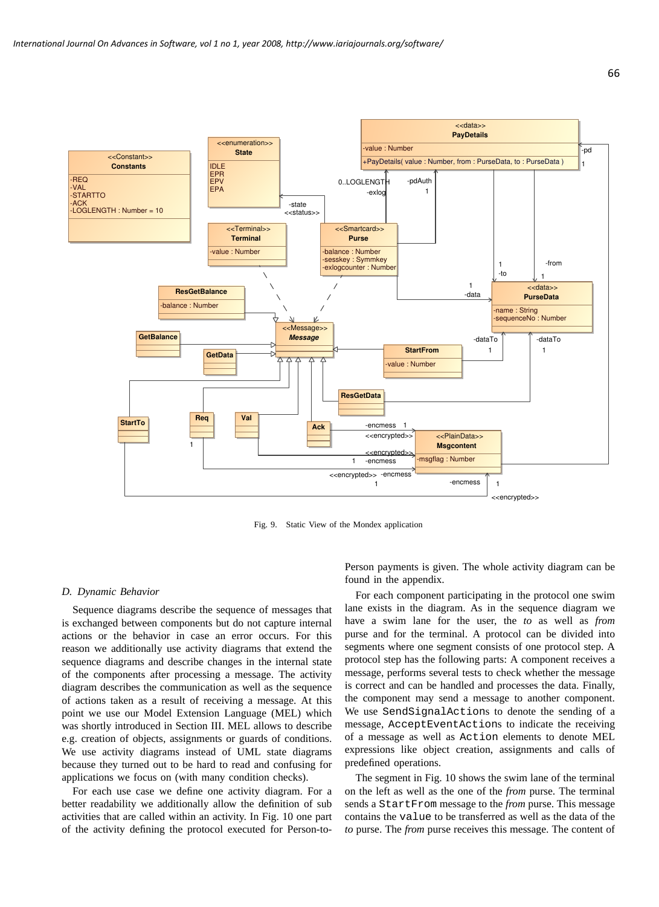

Fig. 9. Static View of the Mondex application

#### *D. Dynamic Behavior*

Sequence diagrams describe the sequence of messages that is exchanged between components but do not capture internal actions or the behavior in case an error occurs. For this reason we additionally use activity diagrams that extend the sequence diagrams and describe changes in the internal state of the components after processing a message. The activity diagram describes the communication as well as the sequence of actions taken as a result of receiving a message. At this point we use our Model Extension Language (MEL) which was shortly introduced in Section III. MEL allows to describe e.g. creation of objects, assignments or guards of conditions. We use activity diagrams instead of UML state diagrams because they turned out to be hard to read and confusing for applications we focus on (with many condition checks).

For each use case we define one activity diagram. For a better readability we additionally allow the definition of sub activities that are called within an activity. In Fig. 10 one part of the activity defining the protocol executed for Person-toPerson payments is given. The whole activity diagram can be found in the appendix.

For each component participating in the protocol one swim lane exists in the diagram. As in the sequence diagram we have a swim lane for the user, the *to* as well as *from* purse and for the terminal. A protocol can be divided into segments where one segment consists of one protocol step. A protocol step has the following parts: A component receives a message, performs several tests to check whether the message is correct and can be handled and processes the data. Finally, the component may send a message to another component. We use SendSignalActions to denote the sending of a message, AcceptEventActions to indicate the receiving of a message as well as Action elements to denote MEL expressions like object creation, assignments and calls of predefined operations.

The segment in Fig. 10 shows the swim lane of the terminal on the left as well as the one of the *from* purse. The terminal sends a StartFrom message to the *from* purse. This message contains the value to be transferred as well as the data of the *to* purse. The *from* purse receives this message. The content of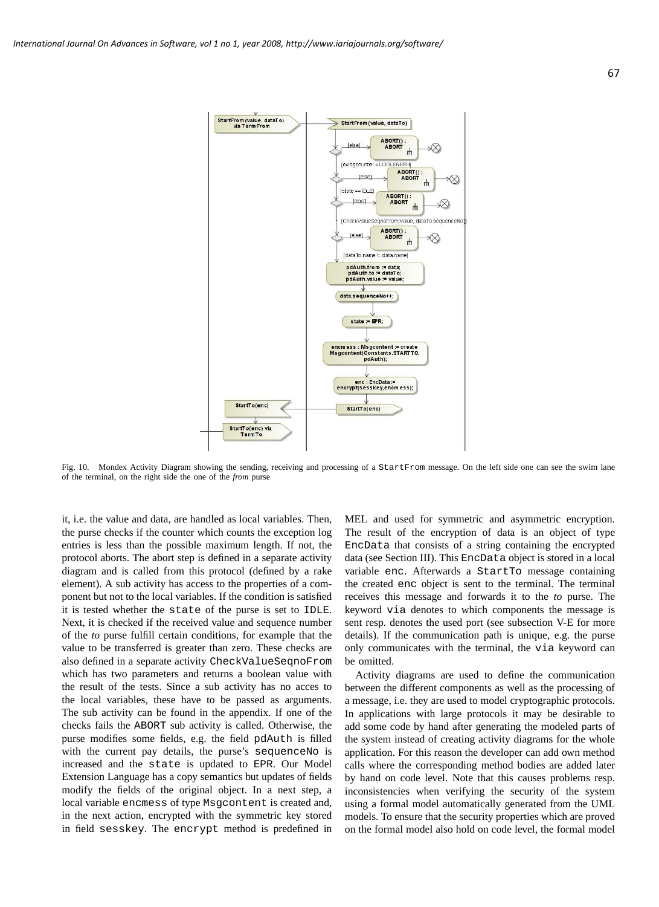

Fig. 10. Mondex Activity Diagram showing the sending, receiving and processing of a StartFrom message. On the left side one can see the swim lane of the terminal, on the right side the one of the *from* purse

it, i.e. the value and data, are handled as local variables. Then, the purse checks if the counter which counts the exception log entries is less than the possible maximum length. If not, the protocol aborts. The abort step is defined in a separate activity diagram and is called from this protocol (defined by a rake element). A sub activity has access to the properties of a component but not to the local variables. If the condition is satisfied it is tested whether the state of the purse is set to IDLE. Next, it is checked if the received value and sequence number of the *to* purse fulfill certain conditions, for example that the value to be transferred is greater than zero. These checks are also defined in a separate activity CheckValueSeqnoFrom which has two parameters and returns a boolean value with the result of the tests. Since a sub activity has no acces to the local variables, these have to be passed as arguments. The sub activity can be found in the appendix. If one of the checks fails the ABORT sub activity is called. Otherwise, the purse modifies some fields, e.g. the field pdAuth is filled with the current pay details, the purse's sequenceNo is increased and the state is updated to EPR. Our Model Extension Language has a copy semantics but updates of fields modify the fields of the original object. In a next step, a local variable encmess of type Msgcontent is created and, in the next action, encrypted with the symmetric key stored in field sesskey. The encrypt method is predefined in

MEL and used for symmetric and asymmetric encryption. The result of the encryption of data is an object of type EncData that consists of a string containing the encrypted data (see Section III). This EncData object is stored in a local variable enc. Afterwards a StartTo message containing the created enc object is sent to the terminal. The terminal receives this message and forwards it to the *to* purse. The keyword via denotes to which components the message is sent resp. denotes the used port (see subsection V-E for more details). If the communication path is unique, e.g. the purse only communicates with the terminal, the via keyword can be omitted.

Activity diagrams are used to define the communication between the different components as well as the processing of a message, i.e. they are used to model cryptographic protocols. In applications with large protocols it may be desirable to add some code by hand after generating the modeled parts of the system instead of creating activity diagrams for the whole application. For this reason the developer can add own method calls where the corresponding method bodies are added later by hand on code level. Note that this causes problems resp. inconsistencies when verifying the security of the system using a formal model automatically generated from the UML models. To ensure that the security properties which are proved on the formal model also hold on code level, the formal model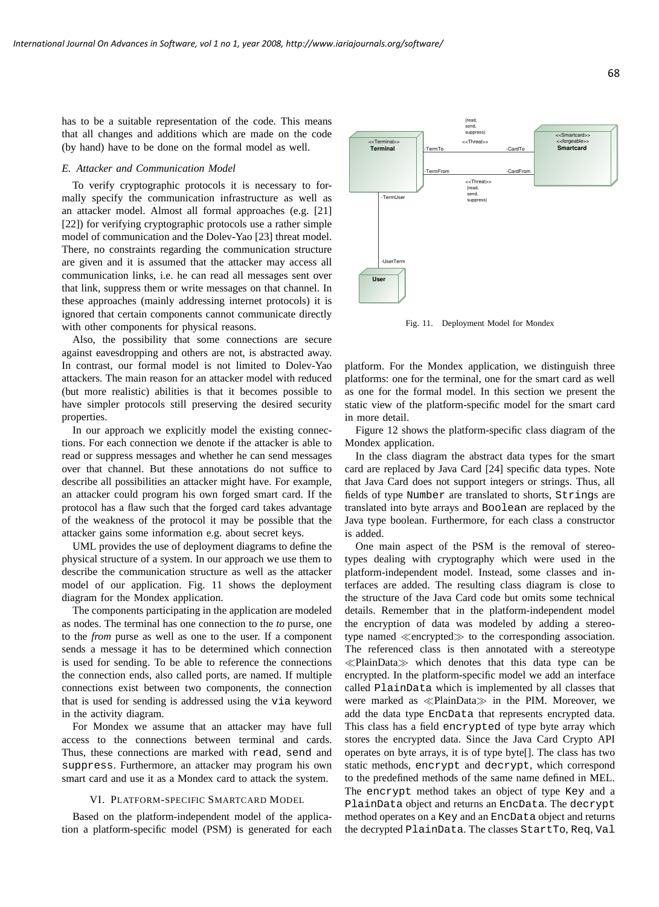has to be a suitable representation of the code. This means that all changes and additions which are made on the code (by hand) have to be done on the formal model as well.

#### *E. Attacker and Communication Model*

To verify cryptographic protocols it is necessary to formally specify the communication infrastructure as well as an attacker model. Almost all formal approaches (e.g. [21] [22]) for verifying cryptographic protocols use a rather simple model of communication and the Dolev-Yao [23] threat model. There, no constraints regarding the communication structure are given and it is assumed that the attacker may access all communication links, i.e. he can read all messages sent over that link, suppress them or write messages on that channel. In these approaches (mainly addressing internet protocols) it is ignored that certain components cannot communicate directly with other components for physical reasons.

Also, the possibility that some connections are secure against eavesdropping and others are not, is abstracted away. In contrast, our formal model is not limited to Dolev-Yao attackers. The main reason for an attacker model with reduced (but more realistic) abilities is that it becomes possible to have simpler protocols still preserving the desired security properties.

In our approach we explicitly model the existing connections. For each connection we denote if the attacker is able to read or suppress messages and whether he can send messages over that channel. But these annotations do not suffice to describe all possibilities an attacker might have. For example, an attacker could program his own forged smart card. If the protocol has a flaw such that the forged card takes advantage of the weakness of the protocol it may be possible that the attacker gains some information e.g. about secret keys.

UML provides the use of deployment diagrams to define the physical structure of a system. In our approach we use them to describe the communication structure as well as the attacker model of our application. Fig. 11 shows the deployment diagram for the Mondex application.

The components participating in the application are modeled as nodes. The terminal has one connection to the *to* purse, one to the *from* purse as well as one to the user. If a component sends a message it has to be determined which connection is used for sending. To be able to reference the connections the connection ends, also called ports, are named. If multiple connections exist between two components, the connection that is used for sending is addressed using the via keyword in the activity diagram.

For Mondex we assume that an attacker may have full access to the connections between terminal and cards. Thus, these connections are marked with read, send and suppress. Furthermore, an attacker may program his own smart card and use it as a Mondex card to attack the system.

#### VI. PLATFORM-SPECIFIC SMARTCARD MODEL

Based on the platform-independent model of the application a platform-specific model (PSM) is generated for each



Fig. 11. Deployment Model for Mondex

platform. For the Mondex application, we distinguish three platforms: one for the terminal, one for the smart card as well as one for the formal model. In this section we present the static view of the platform-specific model for the smart card in more detail.

Figure 12 shows the platform-specific class diagram of the Mondex application.

In the class diagram the abstract data types for the smart card are replaced by Java Card [24] specific data types. Note that Java Card does not support integers or strings. Thus, all fields of type Number are translated to shorts, Strings are translated into byte arrays and Boolean are replaced by the Java type boolean. Furthermore, for each class a constructor is added.

One main aspect of the PSM is the removal of stereotypes dealing with cryptography which were used in the platform-independent model. Instead, some classes and interfaces are added. The resulting class diagram is close to the structure of the Java Card code but omits some technical details. Remember that in the platform-independent model the encryption of data was modeled by adding a stereotype named ≪encrypted≫ to the corresponding association. The referenced class is then annotated with a stereotype ≪PlainData≫ which denotes that this data type can be encrypted. In the platform-specific model we add an interface called PlainData which is implemented by all classes that were marked as ≪PlainData≫ in the PIM. Moreover, we add the data type EncData that represents encrypted data. This class has a field encrypted of type byte array which stores the encrypted data. Since the Java Card Crypto API operates on byte arrays, it is of type byte[]. The class has two static methods, encrypt and decrypt, which correspond to the predefined methods of the same name defined in MEL. The encrypt method takes an object of type Key and a PlainData object and returns an EncData. The decrypt method operates on a Key and an EncData object and returns the decrypted PlainData. The classes StartTo, Req, Val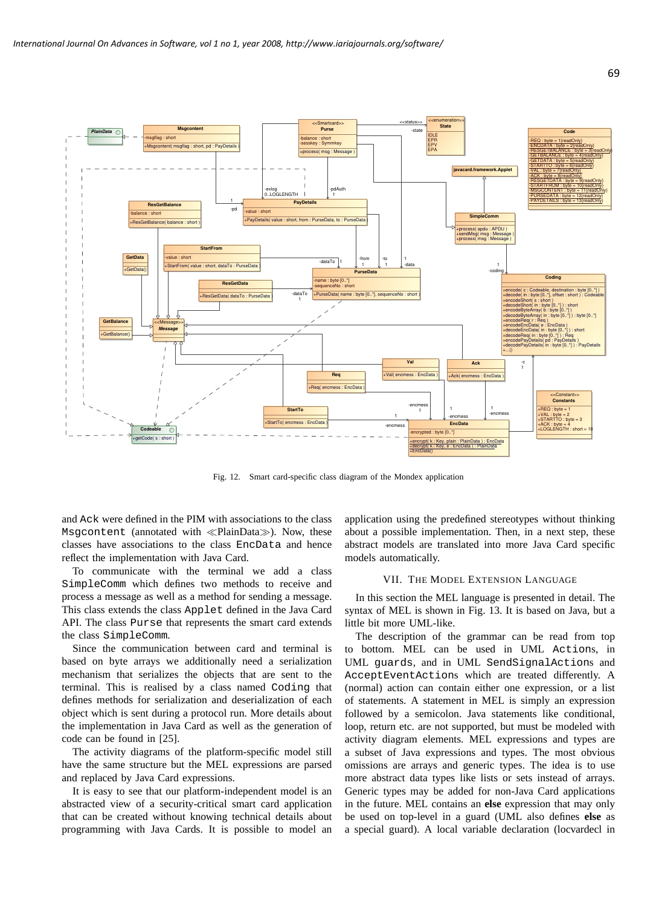

Fig. 12. Smart card-specific class diagram of the Mondex application

and Ack were defined in the PIM with associations to the class Msgcontent (annotated with ≪PlainData≫). Now, these classes have associations to the class EncData and hence reflect the implementation with Java Card.

To communicate with the terminal we add a class SimpleComm which defines two methods to receive and process a message as well as a method for sending a message. This class extends the class Applet defined in the Java Card API. The class Purse that represents the smart card extends the class SimpleComm.

Since the communication between card and terminal is based on byte arrays we additionally need a serialization mechanism that serializes the objects that are sent to the terminal. This is realised by a class named Coding that defines methods for serialization and deserialization of each object which is sent during a protocol run. More details about the implementation in Java Card as well as the generation of code can be found in [25].

The activity diagrams of the platform-specific model still have the same structure but the MEL expressions are parsed and replaced by Java Card expressions.

It is easy to see that our platform-independent model is an abstracted view of a security-critical smart card application that can be created without knowing technical details about programming with Java Cards. It is possible to model an application using the predefined stereotypes without thinking about a possible implementation. Then, in a next step, these abstract models are translated into more Java Card specific models automatically.

### VII. THE MODEL EXTENSION LANGUAGE

In this section the MEL language is presented in detail. The syntax of MEL is shown in Fig. 13. It is based on Java, but a little bit more UML-like.

The description of the grammar can be read from top to bottom. MEL can be used in UML Actions, in UML guards, and in UML SendSignalActions and AcceptEventActions which are treated differently. A (normal) action can contain either one expression, or a list of statements. A statement in MEL is simply an expression followed by a semicolon. Java statements like conditional, loop, return etc. are not supported, but must be modeled with activity diagram elements. MEL expressions and types are a subset of Java expressions and types. The most obvious omissions are arrays and generic types. The idea is to use more abstract data types like lists or sets instead of arrays. Generic types may be added for non-Java Card applications in the future. MEL contains an **else** expression that may only be used on top-level in a guard (UML also defines **else** as a special guard). A local variable declaration (locvardecl in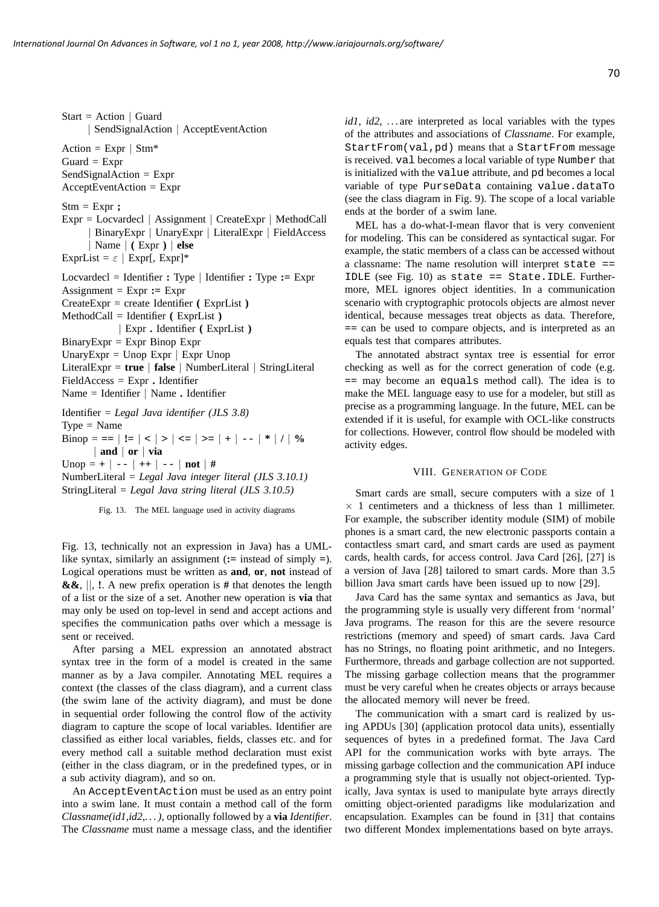Start = Action  $\vert$  Guard | SendSignalAction | AcceptEventAction Action =  $Expr$  |  $Stm*$  $Guard = Expr$ SendSignalAction = Expr  $AcceptEventAction = Expr$ Stm = Expr **;** Expr = Locvardecl | Assignment | CreateExpr | MethodCall | BinaryExpr | UnaryExpr | LiteralExpr | FieldAccess | Name | **(** Expr **)** | **else** ExprList =  $\varepsilon$  | Expr[, Expr]\* Locvardecl = Identifier **:** Type | Identifier **:** Type **:=** Expr Assignment  $=$  Expr  $:=$  Expr CreateExpr = create Identifier **(** ExprList **)** MethodCall = Identifier **(** ExprList **)** | Expr **.** Identifier **(** ExprList **)**  $BinaryExpr = Expr$  Binop Expr UnaryExpr = Unop Expr  $\vert$  Expr Unop LiteralExpr = **true** | **false** | NumberLiteral | StringLiteral FieldAccess = Expr **.** Identifier Name = Identifier | Name **.** Identifier Identifier = *Legal Java identifier (JLS 3.8)*  $Type = Name$ Binop =  $==$  | **!**  $=$  | < | > | < = | > = | + | -- | \* | **/** | % | **and** | **or** | **via** Unop =  $+$  | -- |  $++$  | -- | **not** | # NumberLiteral = *Legal Java integer literal (JLS 3.10.1)* StringLiteral = *Legal Java string literal (JLS 3.10.5)*

Fig. 13. The MEL language used in activity diagrams

Fig. 13, technically not an expression in Java) has a UMLlike syntax, similarly an assignment (**:=** instead of simply **=**). Logical operations must be written as **and**, **or**, **not** instead of **&&**, ||, **!**. A new prefix operation is **#** that denotes the length of a list or the size of a set. Another new operation is **via** that may only be used on top-level in send and accept actions and specifies the communication paths over which a message is sent or received.

After parsing a MEL expression an annotated abstract syntax tree in the form of a model is created in the same manner as by a Java compiler. Annotating MEL requires a context (the classes of the class diagram), and a current class (the swim lane of the activity diagram), and must be done in sequential order following the control flow of the activity diagram to capture the scope of local variables. Identifier are classified as either local variables, fields, classes etc. and for every method call a suitable method declaration must exist (either in the class diagram, or in the predefined types, or in a sub activity diagram), and so on.

An AcceptEventAction must be used as an entry point into a swim lane. It must contain a method call of the form *Classname(id1,id2,. . . )*, optionally followed by a **via** *Identifier*. The *Classname* must name a message class, and the identifier *id1*, *id2*, ... are interpreted as local variables with the types of the attributes and associations of *Classname*. For example, StartFrom(val,pd) means that a StartFrom message is received. val becomes a local variable of type Number that is initialized with the value attribute, and pd becomes a local variable of type PurseData containing value.dataTo (see the class diagram in Fig. 9). The scope of a local variable ends at the border of a swim lane.

MEL has a do-what-I-mean flavor that is very convenient for modeling. This can be considered as syntactical sugar. For example, the static members of a class can be accessed without a classname: The name resolution will interpret state == IDLE (see Fig. 10) as state == State. IDLE. Furthermore, MEL ignores object identities. In a communication scenario with cryptographic protocols objects are almost never identical, because messages treat objects as data. Therefore, **==** can be used to compare objects, and is interpreted as an equals test that compares attributes.

The annotated abstract syntax tree is essential for error checking as well as for the correct generation of code (e.g. **==** may become an equals method call). The idea is to make the MEL language easy to use for a modeler, but still as precise as a programming language. In the future, MEL can be extended if it is useful, for example with OCL-like constructs for collections. However, control flow should be modeled with activity edges.

#### VIII. GENERATION OF CODE

Smart cards are small, secure computers with a size of 1  $\times$  1 centimeters and a thickness of less than 1 millimeter. For example, the subscriber identity module (SIM) of mobile phones is a smart card, the new electronic passports contain a contactless smart card, and smart cards are used as payment cards, health cards, for access control. Java Card [26], [27] is a version of Java [28] tailored to smart cards. More than 3.5 billion Java smart cards have been issued up to now [29].

Java Card has the same syntax and semantics as Java, but the programming style is usually very different from 'normal' Java programs. The reason for this are the severe resource restrictions (memory and speed) of smart cards. Java Card has no Strings, no floating point arithmetic, and no Integers. Furthermore, threads and garbage collection are not supported. The missing garbage collection means that the programmer must be very careful when he creates objects or arrays because the allocated memory will never be freed.

The communication with a smart card is realized by using APDUs [30] (application protocol data units), essentially sequences of bytes in a predefined format. The Java Card API for the communication works with byte arrays. The missing garbage collection and the communication API induce a programming style that is usually not object-oriented. Typically, Java syntax is used to manipulate byte arrays directly omitting object-oriented paradigms like modularization and encapsulation. Examples can be found in [31] that contains two different Mondex implementations based on byte arrays.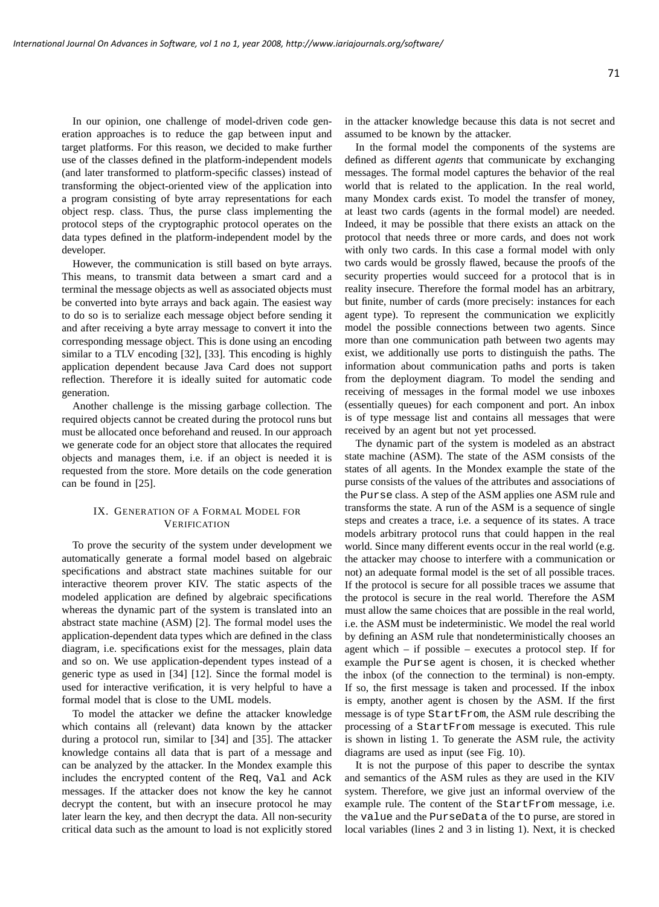In our opinion, one challenge of model-driven code generation approaches is to reduce the gap between input and target platforms. For this reason, we decided to make further use of the classes defined in the platform-independent models (and later transformed to platform-specific classes) instead of transforming the object-oriented view of the application into a program consisting of byte array representations for each object resp. class. Thus, the purse class implementing the protocol steps of the cryptographic protocol operates on the data types defined in the platform-independent model by the developer.

However, the communication is still based on byte arrays. This means, to transmit data between a smart card and a terminal the message objects as well as associated objects must be converted into byte arrays and back again. The easiest way to do so is to serialize each message object before sending it and after receiving a byte array message to convert it into the corresponding message object. This is done using an encoding similar to a TLV encoding [32], [33]. This encoding is highly application dependent because Java Card does not support reflection. Therefore it is ideally suited for automatic code generation.

Another challenge is the missing garbage collection. The required objects cannot be created during the protocol runs but must be allocated once beforehand and reused. In our approach we generate code for an object store that allocates the required objects and manages them, i.e. if an object is needed it is requested from the store. More details on the code generation can be found in [25].

# IX. GENERATION OF A FORMAL MODEL FOR VERIFICATION

To prove the security of the system under development we automatically generate a formal model based on algebraic specifications and abstract state machines suitable for our interactive theorem prover KIV. The static aspects of the modeled application are defined by algebraic specifications whereas the dynamic part of the system is translated into an abstract state machine (ASM) [2]. The formal model uses the application-dependent data types which are defined in the class diagram, i.e. specifications exist for the messages, plain data and so on. We use application-dependent types instead of a generic type as used in [34] [12]. Since the formal model is used for interactive verification, it is very helpful to have a formal model that is close to the UML models.

To model the attacker we define the attacker knowledge which contains all (relevant) data known by the attacker during a protocol run, similar to [34] and [35]. The attacker knowledge contains all data that is part of a message and can be analyzed by the attacker. In the Mondex example this includes the encrypted content of the Req, Val and Ack messages. If the attacker does not know the key he cannot decrypt the content, but with an insecure protocol he may later learn the key, and then decrypt the data. All non-security critical data such as the amount to load is not explicitly stored in the attacker knowledge because this data is not secret and assumed to be known by the attacker.

In the formal model the components of the systems are defined as different *agents* that communicate by exchanging messages. The formal model captures the behavior of the real world that is related to the application. In the real world, many Mondex cards exist. To model the transfer of money, at least two cards (agents in the formal model) are needed. Indeed, it may be possible that there exists an attack on the protocol that needs three or more cards, and does not work with only two cards. In this case a formal model with only two cards would be grossly flawed, because the proofs of the security properties would succeed for a protocol that is in reality insecure. Therefore the formal model has an arbitrary, but finite, number of cards (more precisely: instances for each agent type). To represent the communication we explicitly model the possible connections between two agents. Since more than one communication path between two agents may exist, we additionally use ports to distinguish the paths. The information about communication paths and ports is taken from the deployment diagram. To model the sending and receiving of messages in the formal model we use inboxes (essentially queues) for each component and port. An inbox is of type message list and contains all messages that were received by an agent but not yet processed.

The dynamic part of the system is modeled as an abstract state machine (ASM). The state of the ASM consists of the states of all agents. In the Mondex example the state of the purse consists of the values of the attributes and associations of the Purse class. A step of the ASM applies one ASM rule and transforms the state. A run of the ASM is a sequence of single steps and creates a trace, i.e. a sequence of its states. A trace models arbitrary protocol runs that could happen in the real world. Since many different events occur in the real world (e.g. the attacker may choose to interfere with a communication or not) an adequate formal model is the set of all possible traces. If the protocol is secure for all possible traces we assume that the protocol is secure in the real world. Therefore the ASM must allow the same choices that are possible in the real world, i.e. the ASM must be indeterministic. We model the real world by defining an ASM rule that nondeterministically chooses an agent which – if possible – executes a protocol step. If for example the Purse agent is chosen, it is checked whether the inbox (of the connection to the terminal) is non-empty. If so, the first message is taken and processed. If the inbox is empty, another agent is chosen by the ASM. If the first message is of type StartFrom, the ASM rule describing the processing of a StartFrom message is executed. This rule is shown in listing 1. To generate the ASM rule, the activity diagrams are used as input (see Fig. 10).

It is not the purpose of this paper to describe the syntax and semantics of the ASM rules as they are used in the KIV system. Therefore, we give just an informal overview of the example rule. The content of the StartFrom message, i.e. the value and the PurseData of the to purse, are stored in local variables (lines 2 and 3 in listing 1). Next, it is checked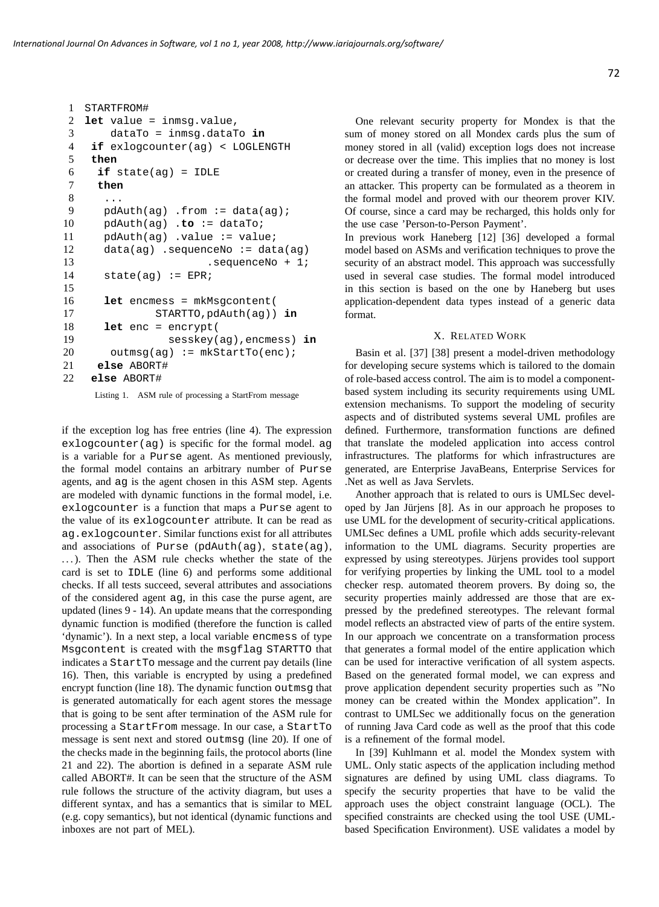```
1 STARTFROM#
2 let value = inmsg.value,
3 dataTo = inmsg.dataTo in
4 if exlogcounter(ag) < LOGLENGTH
5 then
6 if state(ag) = IDLE
7 then
8 ...
9 pdAuth(ag) .from := data(ag);
10 pdAuth(ag) .to := dataTo;
11 pdAuth(aq) .value := value;
12 data(ag) .sequenceNo := data(ag)
13 .sequenceNo + 1;
14 state(ag) := EPR;
15
16 let encmess = mkMsgcontent(
17 STARTTO,pdAuth(ag)) in
18 let enc = encrypt(
19 sesskey(ag),encmess) in
20 outmsq(aq) := mkStartTo(enc);
21 else ABORT#
22 else ABORT#
    Listing 1. ASM rule of processing a StartFrom message
```
if the exception log has free entries (line 4). The expression exlogcounter(ag) is specific for the formal model. ag is a variable for a Purse agent. As mentioned previously, the formal model contains an arbitrary number of Purse agents, and ag is the agent chosen in this ASM step. Agents are modeled with dynamic functions in the formal model, i.e. exlogcounter is a function that maps a Purse agent to the value of its exlogcounter attribute. It can be read as ag.exlogcounter. Similar functions exist for all attributes and associations of Purse (pdAuth(ag), state(ag), ...). Then the ASM rule checks whether the state of the card is set to IDLE (line 6) and performs some additional checks. If all tests succeed, several attributes and associations of the considered agent ag, in this case the purse agent, are updated (lines 9 - 14). An update means that the corresponding dynamic function is modified (therefore the function is called 'dynamic'). In a next step, a local variable encmess of type Msgcontent is created with the msgflag STARTTO that indicates a StartTo message and the current pay details (line 16). Then, this variable is encrypted by using a predefined encrypt function (line 18). The dynamic function outmsg that is generated automatically for each agent stores the message that is going to be sent after termination of the ASM rule for processing a StartFrom message. In our case, a StartTo message is sent next and stored outmsg (line 20). If one of the checks made in the beginning fails, the protocol aborts (line 21 and 22). The abortion is defined in a separate ASM rule called ABORT#. It can be seen that the structure of the ASM rule follows the structure of the activity diagram, but uses a different syntax, and has a semantics that is similar to MEL (e.g. copy semantics), but not identical (dynamic functions and inboxes are not part of MEL).

One relevant security property for Mondex is that the sum of money stored on all Mondex cards plus the sum of money stored in all (valid) exception logs does not increase or decrease over the time. This implies that no money is lost or created during a transfer of money, even in the presence of an attacker. This property can be formulated as a theorem in the formal model and proved with our theorem prover KIV. Of course, since a card may be recharged, this holds only for the use case 'Person-to-Person Payment'.

In previous work Haneberg [12] [36] developed a formal model based on ASMs and verification techniques to prove the security of an abstract model. This approach was successfully used in several case studies. The formal model introduced in this section is based on the one by Haneberg but uses application-dependent data types instead of a generic data format.

# X. RELATED WORK

Basin et al. [37] [38] present a model-driven methodology for developing secure systems which is tailored to the domain of role-based access control. The aim is to model a componentbased system including its security requirements using UML extension mechanisms. To support the modeling of security aspects and of distributed systems several UML profiles are defined. Furthermore, transformation functions are defined that translate the modeled application into access control infrastructures. The platforms for which infrastructures are generated, are Enterprise JavaBeans, Enterprise Services for .Net as well as Java Servlets.

Another approach that is related to ours is UMLSec developed by Jan Jurjens [8]. As in our approach he proposes to ¨ use UML for the development of security-critical applications. UMLSec defines a UML profile which adds security-relevant information to the UML diagrams. Security properties are expressed by using stereotypes. Jürjens provides tool support for verifying properties by linking the UML tool to a model checker resp. automated theorem provers. By doing so, the security properties mainly addressed are those that are expressed by the predefined stereotypes. The relevant formal model reflects an abstracted view of parts of the entire system. In our approach we concentrate on a transformation process that generates a formal model of the entire application which can be used for interactive verification of all system aspects. Based on the generated formal model, we can express and prove application dependent security properties such as "No money can be created within the Mondex application". In contrast to UMLSec we additionally focus on the generation of running Java Card code as well as the proof that this code is a refinement of the formal model.

In [39] Kuhlmann et al. model the Mondex system with UML. Only static aspects of the application including method signatures are defined by using UML class diagrams. To specify the security properties that have to be valid the approach uses the object constraint language (OCL). The specified constraints are checked using the tool USE (UMLbased Specification Environment). USE validates a model by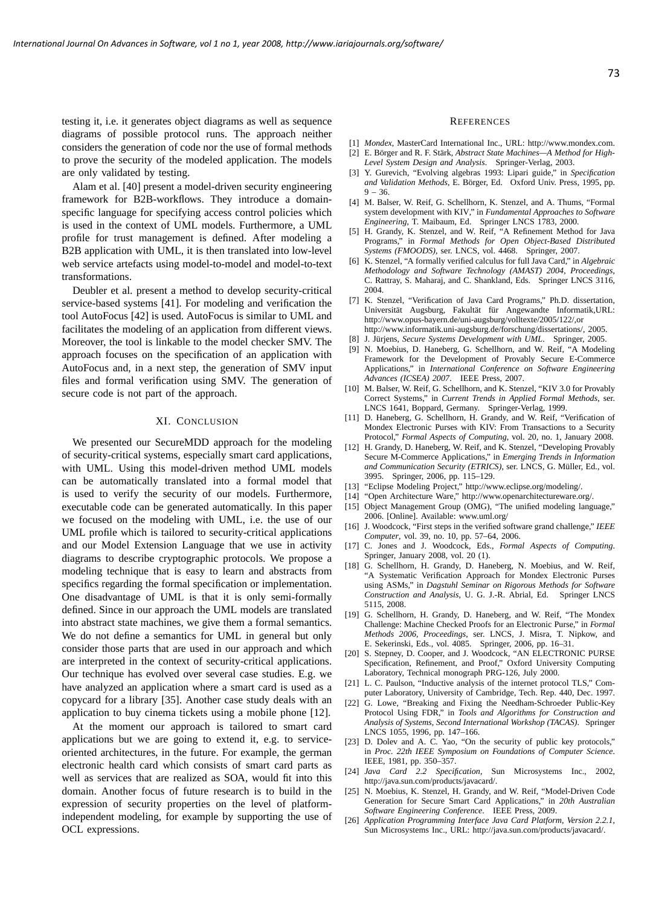testing it, i.e. it generates object diagrams as well as sequence diagrams of possible protocol runs. The approach neither considers the generation of code nor the use of formal methods to prove the security of the modeled application. The models are only validated by testing.

Alam et al. [40] present a model-driven security engineering framework for B2B-workflows. They introduce a domainspecific language for specifying access control policies which is used in the context of UML models. Furthermore, a UML profile for trust management is defined. After modeling a B2B application with UML, it is then translated into low-level web service artefacts using model-to-model and model-to-text transformations.

Deubler et al. present a method to develop security-critical service-based systems [41]. For modeling and verification the tool AutoFocus [42] is used. AutoFocus is similar to UML and facilitates the modeling of an application from different views. Moreover, the tool is linkable to the model checker SMV. The approach focuses on the specification of an application with AutoFocus and, in a next step, the generation of SMV input files and formal verification using SMV. The generation of secure code is not part of the approach.

# XI. CONCLUSION

We presented our SecureMDD approach for the modeling of security-critical systems, especially smart card applications, with UML. Using this model-driven method UML models can be automatically translated into a formal model that is used to verify the security of our models. Furthermore, executable code can be generated automatically. In this paper we focused on the modeling with UML, i.e. the use of our UML profile which is tailored to security-critical applications and our Model Extension Language that we use in activity diagrams to describe cryptographic protocols. We propose a modeling technique that is easy to learn and abstracts from specifics regarding the formal specification or implementation. One disadvantage of UML is that it is only semi-formally defined. Since in our approach the UML models are translated into abstract state machines, we give them a formal semantics. We do not define a semantics for UML in general but only consider those parts that are used in our approach and which are interpreted in the context of security-critical applications. Our technique has evolved over several case studies. E.g. we have analyzed an application where a smart card is used as a copycard for a library [35]. Another case study deals with an application to buy cinema tickets using a mobile phone [12].

At the moment our approach is tailored to smart card applications but we are going to extend it, e.g. to serviceoriented architectures, in the future. For example, the german electronic health card which consists of smart card parts as well as services that are realized as SOA, would fit into this domain. Another focus of future research is to build in the expression of security properties on the level of platformindependent modeling, for example by supporting the use of OCL expressions.

### **REFERENCES**

- [1] *Mondex*, MasterCard International Inc., URL: http://www.mondex.com.
- [2] E. Börger and R. F. Stärk, Abstract State Machines-A Method for High-*Level System Design and Analysis*. Springer-Verlag, 2003.
- [3] Y. Gurevich, "Evolving algebras 1993: Lipari guide," in *Specification* and Validation Methods, E. Börger, Ed. Oxford Univ. Press, 1995, pp.  $9 - 36$
- [4] M. Balser, W. Reif, G. Schellhorn, K. Stenzel, and A. Thums, "Formal system development with KIV," in *Fundamental Approaches to Software Engineering*, T. Maibaum, Ed. Springer LNCS 1783, 2000.
- [5] H. Grandy, K. Stenzel, and W. Reif, "A Refinement Method for Java Programs," in *Formal Methods for Open Object-Based Distributed Systems (FMOODS)*, ser. LNCS, vol. 4468. Springer, 2007.
- [6] K. Stenzel, "A formally verified calculus for full Java Card," in *Algebraic Methodology and Software Technology (AMAST) 2004, Proceedings*, C. Rattray, S. Maharaj, and C. Shankland, Eds. Springer LNCS 3116, 2004.
- [7] K. Stenzel, "Verification of Java Card Programs," Ph.D. dissertation, Universität Augsburg, Fakultät für Angewandte Informatik, URL: http://www.opus-bayern.de/uni-augsburg/volltexte/2005/122/,or http://www.informatik.uni-augsburg.de/forschung/dissertations/, 2005.
- [8] J. Jürjens, Secure Systems Development with UML. Springer, 2005.
- [9] N. Moebius, D. Haneberg, G. Schellhorn, and W. Reif, "A Modeling Framework for the Development of Provably Secure E-Commerce Applications," in *International Conference on Software Engineering Advances (ICSEA) 2007*. IEEE Press, 2007.
- [10] M. Balser, W. Reif, G. Schellhorn, and K. Stenzel, "KIV 3.0 for Provably Correct Systems," in *Current Trends in Applied Formal Methods*, ser. LNCS 1641, Boppard, Germany. Springer-Verlag, 1999.
- [11] D. Haneberg, G. Schellhorn, H. Grandy, and W. Reif, "Verification of Mondex Electronic Purses with KIV: From Transactions to a Security Protocol," *Formal Aspects of Computing*, vol. 20, no. 1, January 2008.
- [12] H. Grandy, D. Haneberg, W. Reif, and K. Stenzel, "Developing Provably Secure M-Commerce Applications," in *Emerging Trends in Information and Communication Security (ETRICS)*, ser. LNCS, G. Muller, Ed., vol. ¨ 3995. Springer, 2006, pp. 115–129.
- [13] "Eclipse Modeling Project," http://www.eclipse.org/modeling/.
- [14] "Open Architecture Ware," http://www.openarchitectureware.org/.
- [15] Object Management Group (OMG), "The unified modeling language," 2006. [Online]. Available: www.uml.org/
- [16] J. Woodcock, "First steps in the verified software grand challenge," *IEEE Computer*, vol. 39, no. 10, pp. 57–64, 2006.
- [17] C. Jones and J. Woodcock, Eds., *Formal Aspects of Computing*. Springer, January 2008, vol. 20 (1).
- [18] G. Schellhorn, H. Grandy, D. Haneberg, N. Moebius, and W. Reif, "A Systematic Verification Approach for Mondex Electronic Purses using ASMs," in *Dagstuhl Seminar on Rigorous Methods for Software Construction and Analysis*, U. G. J.-R. Abrial, Ed. Springer LNCS 5115, 2008.
- [19] G. Schellhorn, H. Grandy, D. Haneberg, and W. Reif, "The Mondex Challenge: Machine Checked Proofs for an Electronic Purse," in *Formal Methods 2006, Proceedings*, ser. LNCS, J. Misra, T. Nipkow, and E. Sekerinski, Eds., vol. 4085. Springer, 2006, pp. 16–31.
- [20] S. Stepney, D. Cooper, and J. Woodcock, "AN ELECTRONIC PURSE Specification, Refinement, and Proof," Oxford University Computing Laboratory, Technical monograph PRG-126, July 2000.
- [21] L. C. Paulson, "Inductive analysis of the internet protocol TLS," Computer Laboratory, University of Cambridge, Tech. Rep. 440, Dec. 1997.
- [22] G. Lowe, "Breaking and Fixing the Needham-Schroeder Public-Key Protocol Using FDR," in *Tools and Algorithms for Construction and Analysis of Systems, Second International Workshop (TACAS)*. Springer LNCS 1055, 1996, pp. 147–166.
- [23] D. Dolev and A. C. Yao, "On the security of public key protocols," in *Proc. 22th IEEE Symposium on Foundations of Computer Science*. IEEE, 1981, pp. 350–357.
- [24] *Java Card 2.2 Specification*, Sun Microsystems Inc., 2002, http://java.sun.com/products/javacard/.
- [25] N. Moebius, K. Stenzel, H. Grandy, and W. Reif, "Model-Driven Code Generation for Secure Smart Card Applications," in *20th Australian Software Engineering Conference*. IEEE Press, 2009.
- [26] *Application Programming Interface Java Card Platform, Version 2.2.1*, Sun Microsystems Inc., URL: http://java.sun.com/products/javacard/.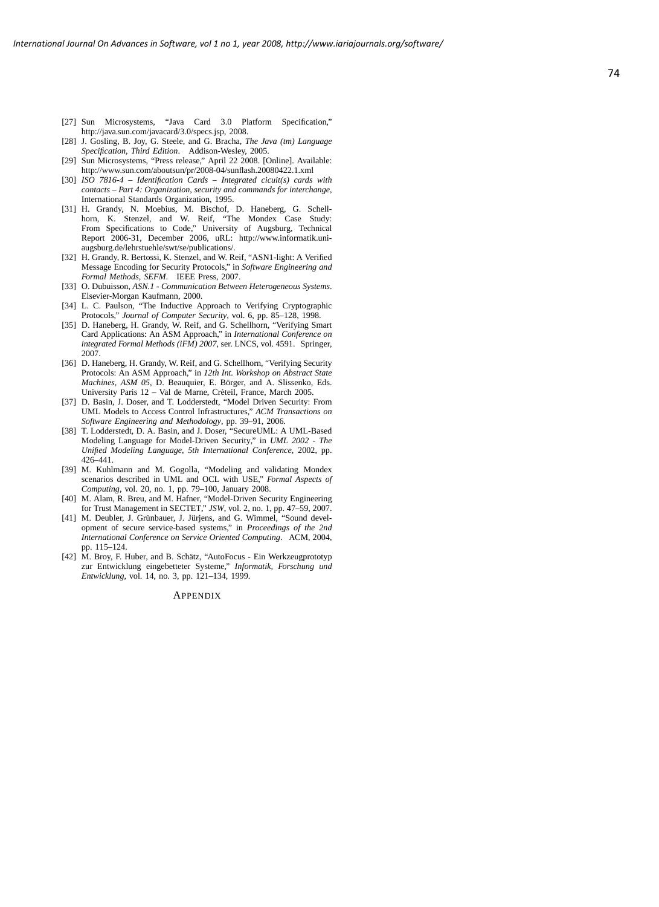- [27] Sun Microsystems, "Java Card 3.0 Platform Specification," http://java.sun.com/javacard/3.0/specs.jsp, 2008.
- [28] J. Gosling, B. Joy, G. Steele, and G. Bracha, *The Java (tm) Language Specification, Third Edition*. Addison-Wesley, 2005.
- [29] Sun Microsystems, "Press release," April 22 2008. [Online]. Available: http://www.sun.com/aboutsun/pr/2008-04/sunflash.20080422.1.xml
- [30] *ISO 7816-4 Identification Cards Integrated cicuit(s) cards with contacts – Part 4: Organization, security and commands for interchange*, International Standards Organization, 1995.
- [31] H. Grandy, N. Moebius, M. Bischof, D. Haneberg, G. Schellhorn, K. Stenzel, and W. Reif, "The Mondex Case Study: From Specifications to Code," University of Augsburg, Technical Report 2006-31, December 2006, uRL: http://www.informatik.uniaugsburg.de/lehrstuehle/swt/se/publications/.
- [32] H. Grandy, R. Bertossi, K. Stenzel, and W. Reif, "ASN1-light: A Verified Message Encoding for Security Protocols," in *Software Engineering and Formal Methods, SEFM*. IEEE Press, 2007.
- [33] O. Dubuisson, *ASN.1 Communication Between Heterogeneous Systems*. Elsevier-Morgan Kaufmann, 2000.
- [34] L. C. Paulson, "The Inductive Approach to Verifying Cryptographic Protocols," *Journal of Computer Security*, vol. 6, pp. 85–128, 1998.
- [35] D. Haneberg, H. Grandy, W. Reif, and G. Schellhorn, "Verifying Smart Card Applications: An ASM Approach," in *International Conference on integrated Formal Methods (iFM) 2007*, ser. LNCS, vol. 4591. Springer, 2007.
- [36] D. Haneberg, H. Grandy, W. Reif, and G. Schellhorn, "Verifying Security Protocols: An ASM Approach," in *12th Int. Workshop on Abstract State Machines, ASM 05, D. Beauquier, E. Börger, and A. Slissenko, Eds.* University Paris 12 – Val de Marne, Creteil, France, March 2005. ´
- [37] D. Basin, J. Doser, and T. Lodderstedt, "Model Driven Security: From UML Models to Access Control Infrastructures," *ACM Transactions on Software Engineering and Methodology*, pp. 39–91, 2006.
- [38] T. Lodderstedt, D. A. Basin, and J. Doser, "SecureUML: A UML-Based Modeling Language for Model-Driven Security," in *UML 2002 - The Unified Modeling Language, 5th International Conference*, 2002, pp. 426–441.
- [39] M. Kuhlmann and M. Gogolla, "Modeling and validating Mondex scenarios described in UML and OCL with USE," *Formal Aspects of Computing*, vol. 20, no. 1, pp. 79–100, January 2008.
- [40] M. Alam, R. Breu, and M. Hafner, "Model-Driven Security Engineering for Trust Management in SECTET," *JSW*, vol. 2, no. 1, pp. 47–59, 2007.
- [41] M. Deubler, J. Grünbauer, J. Jürjens, and G. Wimmel, "Sound development of secure service-based systems," in *Proceedings of the 2nd International Conference on Service Oriented Computing*. ACM, 2004, pp. 115–124.
- [42] M. Broy, F. Huber, and B. Schätz, "AutoFocus Ein Werkzeugprototyp" zur Entwicklung eingebetteter Systeme," *Informatik, Forschung und Entwicklung*, vol. 14, no. 3, pp. 121–134, 1999.

#### **APPENDIX**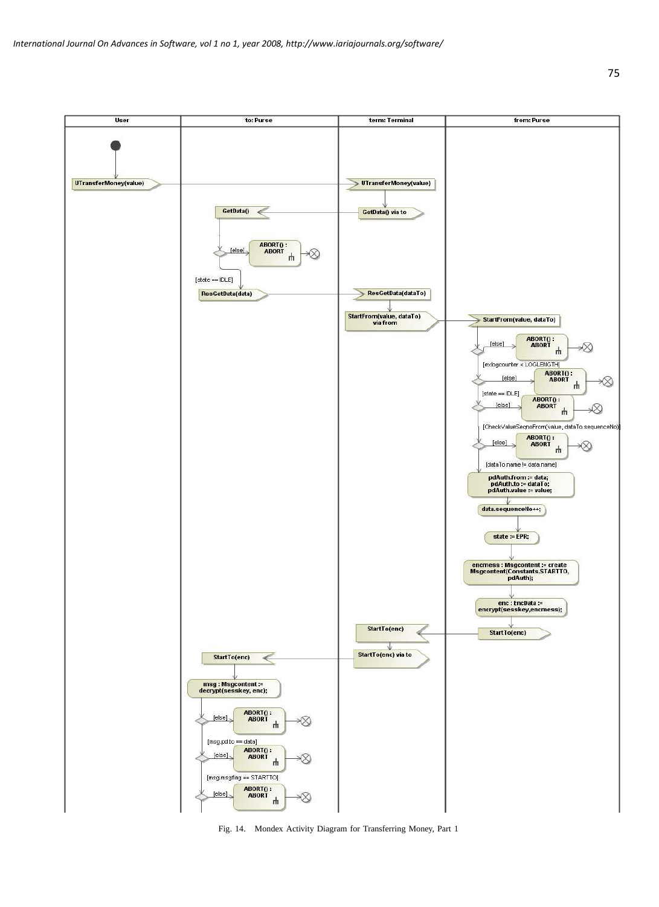

Fig. 14. Mondex Activity Diagram for Transferring Money, Part 1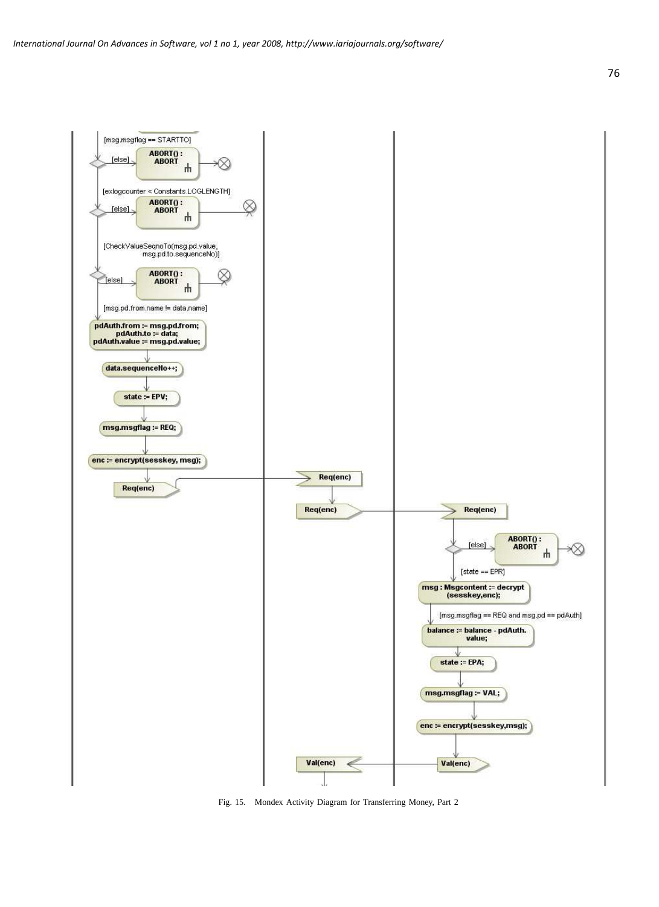

Fig. 15. Mondex Activity Diagram for Transferring Money, Part 2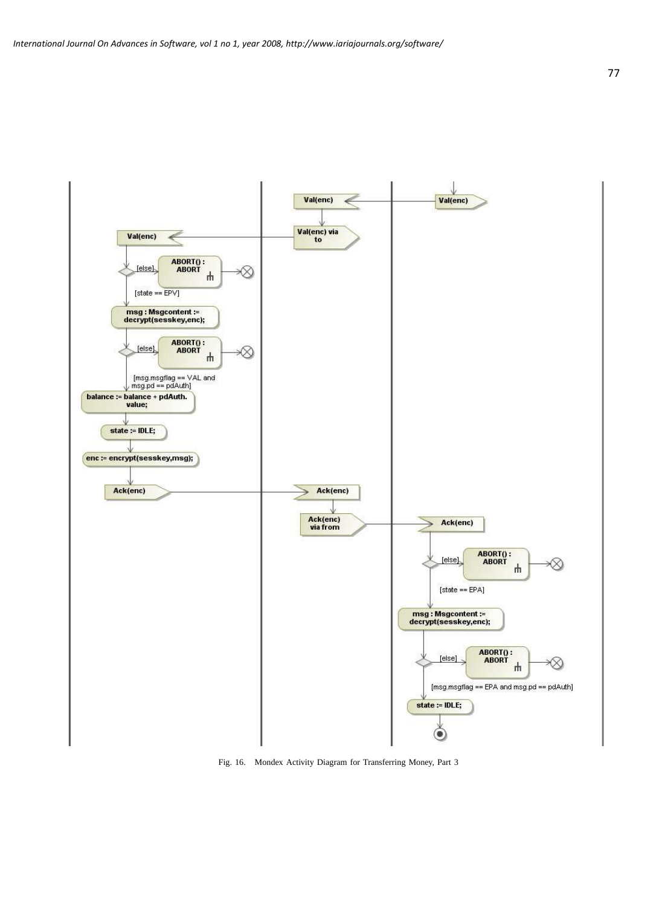

Fig. 16. Mondex Activity Diagram for Transferring Money, Part 3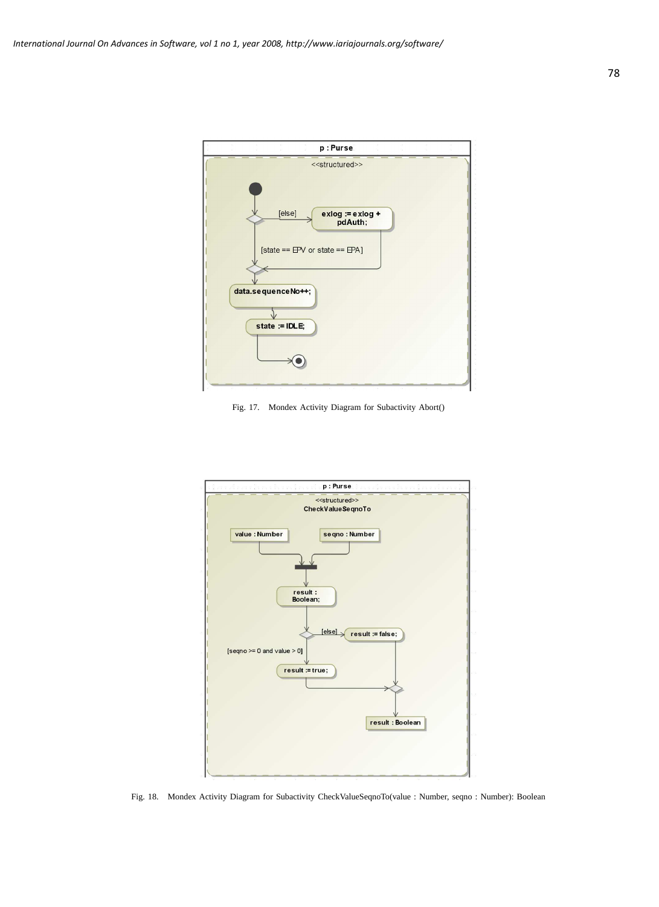

Fig. 17. Mondex Activity Diagram for Subactivity Abort()



Fig. 18. Mondex Activity Diagram for Subactivity CheckValueSeqnoTo(value : Number, seqno : Number): Boolean